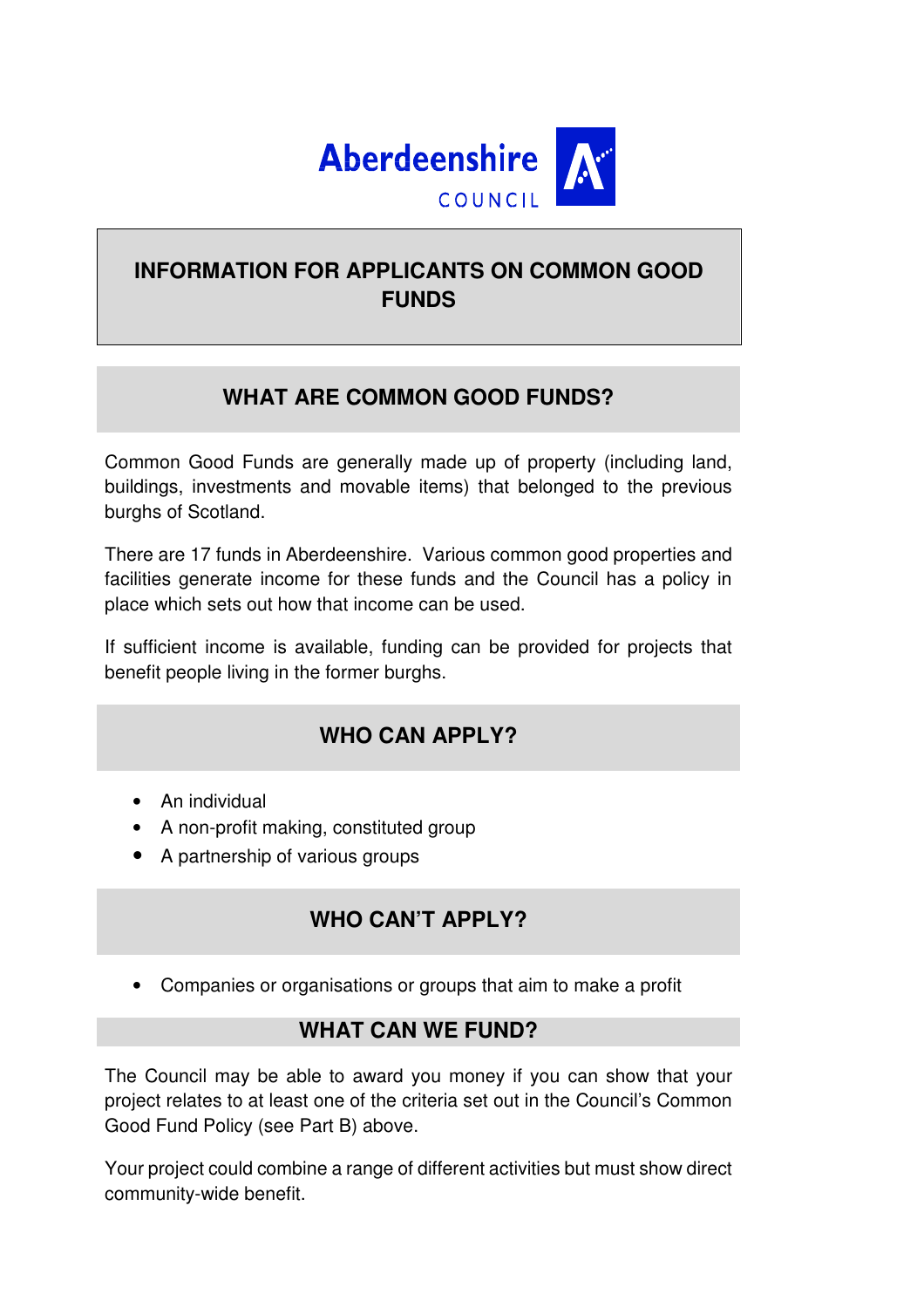

# **INFORMATION FOR APPLICANTS ON COMMON GOOD FUNDS**

### **WHAT ARE COMMON GOOD FUNDS?**

Common Good Funds are generally made up of property (including land, buildings, investments and movable items) that belonged to the previous burghs of Scotland.

There are 17 funds in Aberdeenshire. Various common good properties and facilities generate income for these funds and the Council has a policy in place which sets out how that income can be used.

If sufficient income is available, funding can be provided for projects that benefit people living in the former burghs.

### **WHO CAN APPLY?**

- An individual
- A non-profit making, constituted group
- A partnership of various groups

### **WHO CAN'T APPLY?**

• Companies or organisations or groups that aim to make a profit

### **WHAT CAN WE FUND?**

The Council may be able to award you money if you can show that your project relates to at least one of the criteria set out in the Council's Common Good Fund Policy (see Part B) above.

Your project could combine a range of different activities but must show direct community-wide benefit.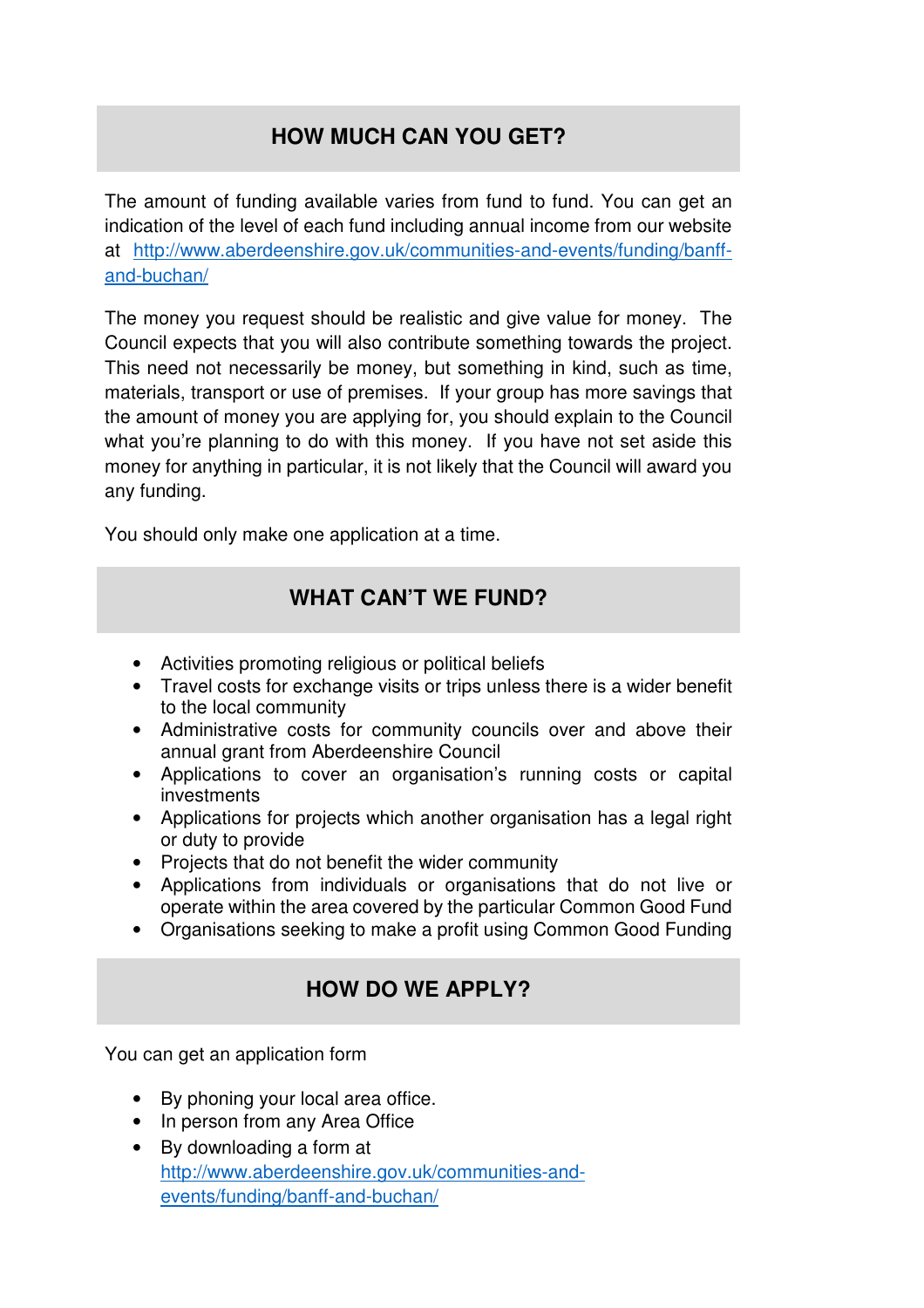# **HOW MUCH CAN YOU GET?**

The amount of funding available varies from fund to fund. You can get an indication of the level of each fund including annual income from our website at http://www.aberdeenshire.gov.uk/communities-and-events/funding/banffand-buchan/

The money you request should be realistic and give value for money. The Council expects that you will also contribute something towards the project. This need not necessarily be money, but something in kind, such as time, materials, transport or use of premises. If your group has more savings that the amount of money you are applying for, you should explain to the Council what you're planning to do with this money. If you have not set aside this money for anything in particular, it is not likely that the Council will award you any funding.

You should only make one application at a time.

### **WHAT CAN'T WE FUND?**

- Activities promoting religious or political beliefs
- Travel costs for exchange visits or trips unless there is a wider benefit to the local community
- Administrative costs for community councils over and above their annual grant from Aberdeenshire Council
- Applications to cover an organisation's running costs or capital investments
- Applications for projects which another organisation has a legal right or duty to provide
- Projects that do not benefit the wider community
- Applications from individuals or organisations that do not live or operate within the area covered by the particular Common Good Fund
- Organisations seeking to make a profit using Common Good Funding

### **HOW DO WE APPLY?**

You can get an application form

- By phoning your local area office.
- In person from any Area Office
- By downloading a form at http://www.aberdeenshire.gov.uk/communities-andevents/funding/banff-and-buchan/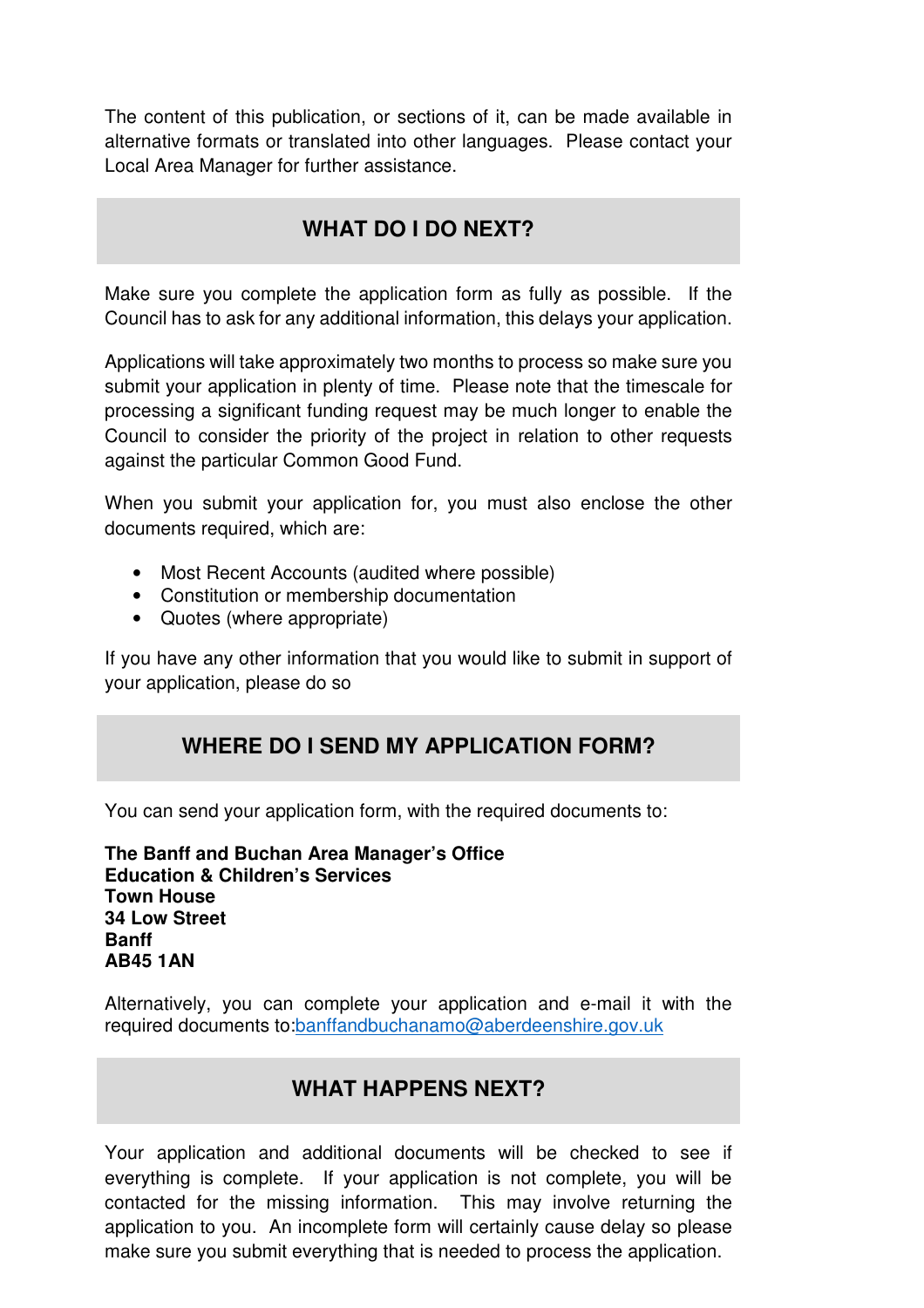The content of this publication, or sections of it, can be made available in alternative formats or translated into other languages. Please contact your Local Area Manager for further assistance.

### **WHAT DO I DO NEXT?**

Make sure you complete the application form as fully as possible. If the Council has to ask for any additional information, this delays your application.

Applications will take approximately two months to process so make sure you submit your application in plenty of time. Please note that the timescale for processing a significant funding request may be much longer to enable the Council to consider the priority of the project in relation to other requests against the particular Common Good Fund.

When you submit your application for, you must also enclose the other documents required, which are:

- Most Recent Accounts (audited where possible)
- Constitution or membership documentation
- Quotes (where appropriate)

If you have any other information that you would like to submit in support of your application, please do so

### **WHERE DO I SEND MY APPLICATION FORM?**

You can send your application form, with the required documents to:

**The Banff and Buchan Area Manager's Office Education & Children's Services Town House 34 Low Street Banff AB45 1AN** 

Alternatively, you can complete your application and e-mail it with the required documents to:banffandbuchanamo@aberdeenshire.gov.uk

### **WHAT HAPPENS NEXT?**

Your application and additional documents will be checked to see if everything is complete. If your application is not complete, you will be contacted for the missing information. This may involve returning the application to you. An incomplete form will certainly cause delay so please make sure you submit everything that is needed to process the application.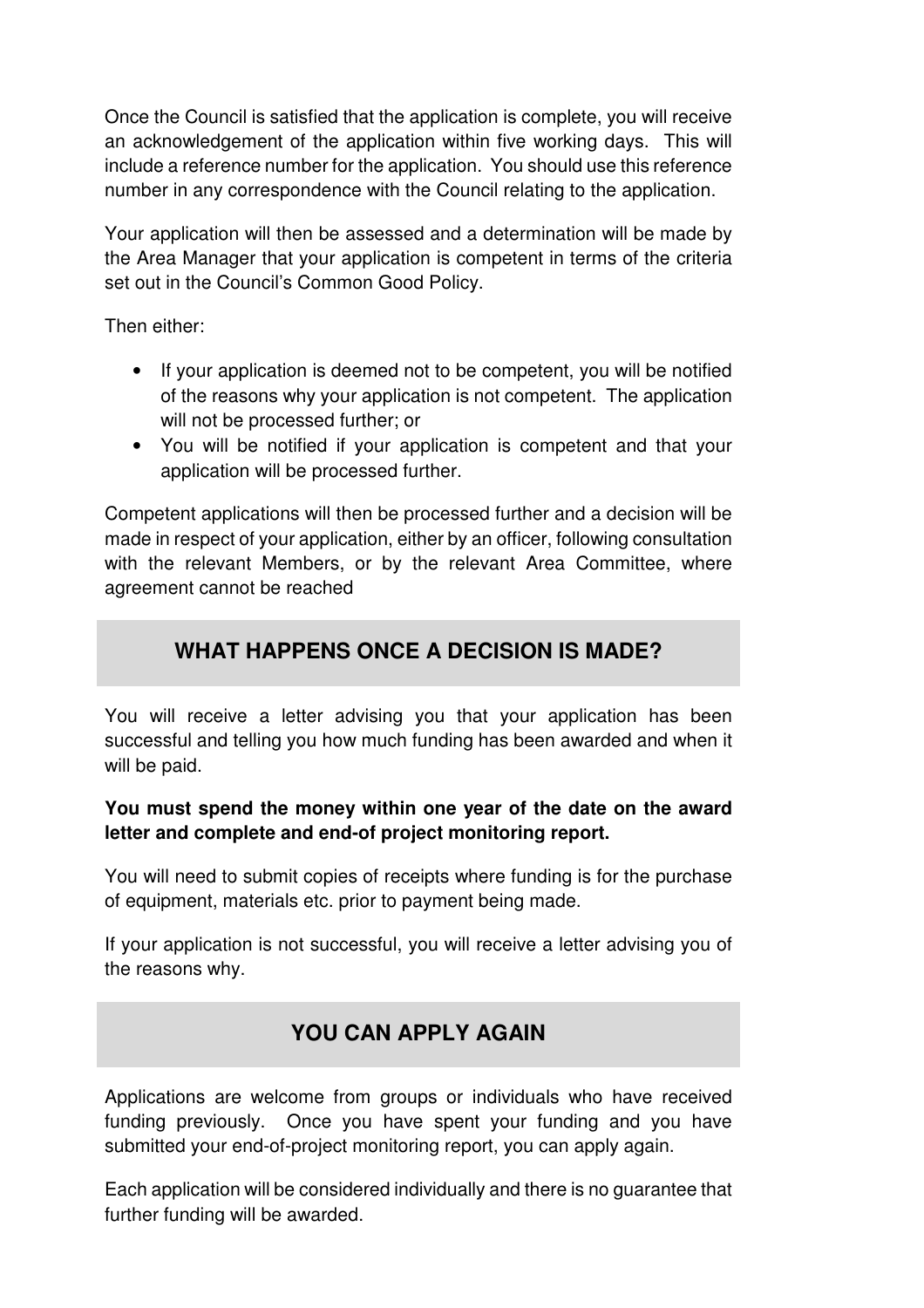Once the Council is satisfied that the application is complete, you will receive an acknowledgement of the application within five working days. This will include a reference number for the application. You should use this reference number in any correspondence with the Council relating to the application.

Your application will then be assessed and a determination will be made by the Area Manager that your application is competent in terms of the criteria set out in the Council's Common Good Policy.

Then either:

- If your application is deemed not to be competent, you will be notified of the reasons why your application is not competent. The application will not be processed further; or
- You will be notified if your application is competent and that your application will be processed further.

Competent applications will then be processed further and a decision will be made in respect of your application, either by an officer, following consultation with the relevant Members, or by the relevant Area Committee, where agreement cannot be reached

# **WHAT HAPPENS ONCE A DECISION IS MADE?**

You will receive a letter advising you that your application has been successful and telling you how much funding has been awarded and when it will be paid.

### **You must spend the money within one year of the date on the award letter and complete and end-of project monitoring report.**

You will need to submit copies of receipts where funding is for the purchase of equipment, materials etc. prior to payment being made.

If your application is not successful, you will receive a letter advising you of the reasons why.

# **YOU CAN APPLY AGAIN**

Applications are welcome from groups or individuals who have received funding previously. Once you have spent your funding and you have submitted your end-of-project monitoring report, you can apply again.

Each application will be considered individually and there is no guarantee that further funding will be awarded.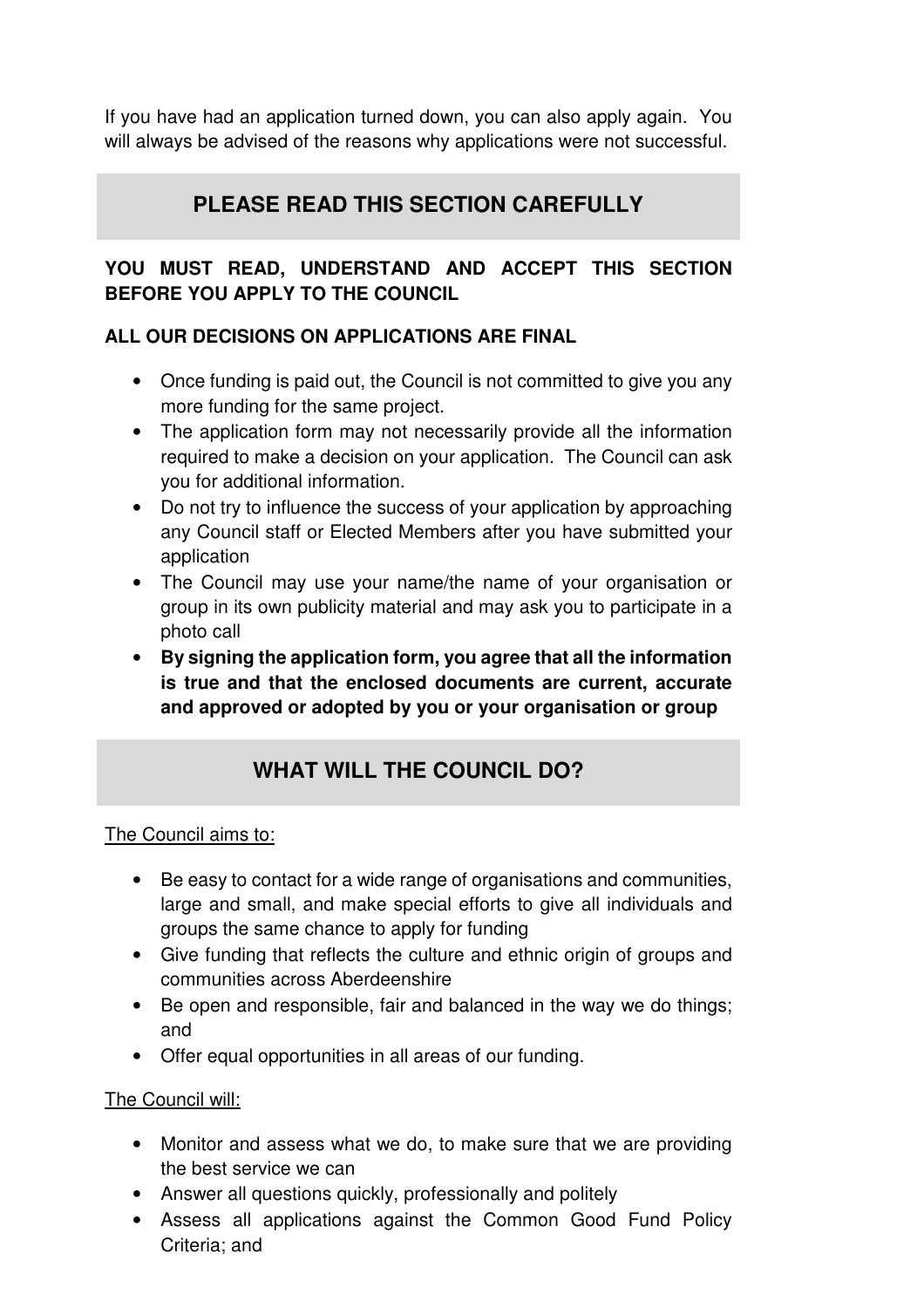If you have had an application turned down, you can also apply again. You will always be advised of the reasons why applications were not successful.

# **PLEASE READ THIS SECTION CAREFULLY**

### **YOU MUST READ, UNDERSTAND AND ACCEPT THIS SECTION BEFORE YOU APPLY TO THE COUNCIL**

### **ALL OUR DECISIONS ON APPLICATIONS ARE FINAL**

- Once funding is paid out, the Council is not committed to give you any more funding for the same project.
- The application form may not necessarily provide all the information required to make a decision on your application. The Council can ask you for additional information.
- Do not try to influence the success of your application by approaching any Council staff or Elected Members after you have submitted your application
- The Council may use your name/the name of your organisation or group in its own publicity material and may ask you to participate in a photo call
- **By signing the application form, you agree that all the information is true and that the enclosed documents are current, accurate and approved or adopted by you or your organisation or group**

# **WHAT WILL THE COUNCIL DO?**

### The Council aims to:

- Be easy to contact for a wide range of organisations and communities, large and small, and make special efforts to give all individuals and groups the same chance to apply for funding
- Give funding that reflects the culture and ethnic origin of groups and communities across Aberdeenshire
- Be open and responsible, fair and balanced in the way we do things; and
- Offer equal opportunities in all areas of our funding.

### The Council will:

- Monitor and assess what we do, to make sure that we are providing the best service we can
- Answer all questions quickly, professionally and politely
- Assess all applications against the Common Good Fund Policy Criteria; and